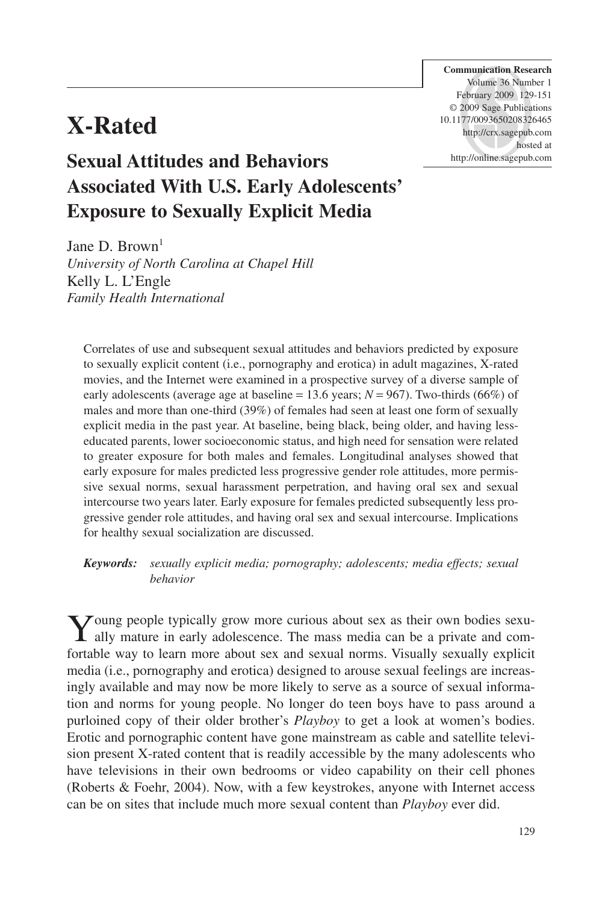# **X-Rated**

**Communication Research** Volume 36 Number 1 February 2009 129-151 © 2009 Sage Publications 10.1177/0093650208326465 http://crx.sagepub.com hosted at http://online.sagepub.com

# **Sexual Attitudes and Behaviors Associated With U.S. Early Adolescents' Exposure to Sexually Explicit Media**

Jane D. Brown1 *University of North Carolina at Chapel Hill* Kelly L. L'Engle *Family Health International* 

Correlates of use and subsequent sexual attitudes and behaviors predicted by exposure to sexually explicit content (i.e., pornography and erotica) in adult magazines, X-rated movies, and the Internet were examined in a prospective survey of a diverse sample of early adolescents (average age at baseline = 13.6 years;  $N = 967$ ). Two-thirds (66%) of males and more than one-third (39%) of females had seen at least one form of sexually explicit media in the past year. At baseline, being black, being older, and having lesseducated parents, lower socioeconomic status, and high need for sensation were related to greater exposure for both males and females. Longitudinal analyses showed that early exposure for males predicted less progressive gender role attitudes, more permissive sexual norms, sexual harassment perpetration, and having oral sex and sexual intercourse two years later. Early exposure for females predicted subsequently less progressive gender role attitudes, and having oral sex and sexual intercourse. Implications for healthy sexual socialization are discussed.

*Keywords: sexually explicit media; pornography; adolescents; media effects; sexual behavior*

Young people typically grow more curious about sex as their own bodies sexually mature in early adolescence. The mass media can be a private and comfortable way to learn more about sex and sexual norms. Visually sexually explicit media (i.e., pornography and erotica) designed to arouse sexual feelings are increasingly available and may now be more likely to serve as a source of sexual information and norms for young people. No longer do teen boys have to pass around a purloined copy of their older brother's *Playboy* to get a look at women's bodies. Erotic and pornographic content have gone mainstream as cable and satellite television present X-rated content that is readily accessible by the many adolescents who have televisions in their own bedrooms or video capability on their cell phones (Roberts & Foehr, 2004). Now, with a few keystrokes, anyone with Internet access can be on sites that include much more sexual content than *Playboy* ever did.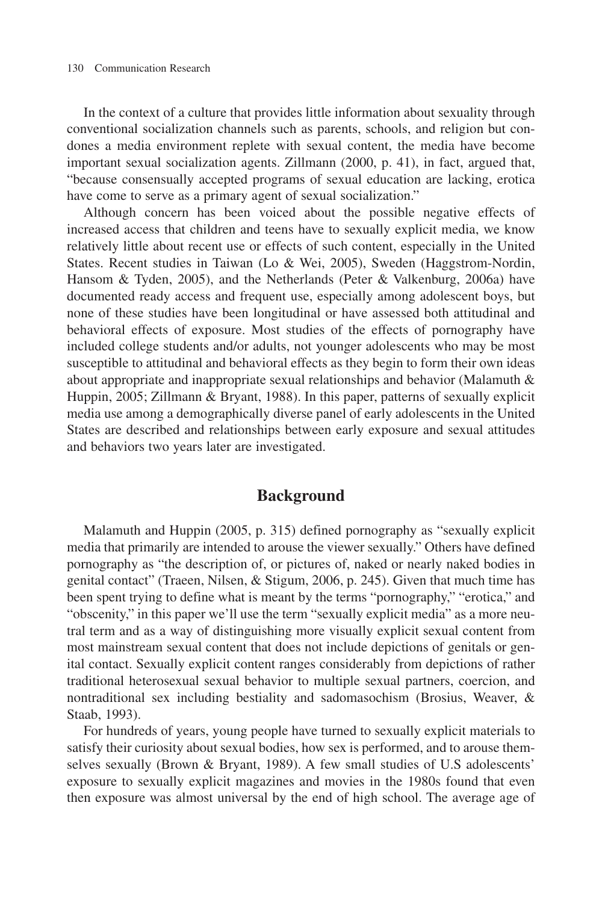In the context of a culture that provides little information about sexuality through conventional socialization channels such as parents, schools, and religion but condones a media environment replete with sexual content, the media have become important sexual socialization agents. Zillmann (2000, p. 41), in fact, argued that, "because consensually accepted programs of sexual education are lacking, erotica have come to serve as a primary agent of sexual socialization."

Although concern has been voiced about the possible negative effects of increased access that children and teens have to sexually explicit media, we know relatively little about recent use or effects of such content, especially in the United States. Recent studies in Taiwan (Lo & Wei, 2005), Sweden (Haggstrom-Nordin, Hansom & Tyden, 2005), and the Netherlands (Peter & Valkenburg, 2006a) have documented ready access and frequent use, especially among adolescent boys, but none of these studies have been longitudinal or have assessed both attitudinal and behavioral effects of exposure. Most studies of the effects of pornography have included college students and/or adults, not younger adolescents who may be most susceptible to attitudinal and behavioral effects as they begin to form their own ideas about appropriate and inappropriate sexual relationships and behavior (Malamuth & Huppin, 2005; Zillmann & Bryant, 1988). In this paper, patterns of sexually explicit media use among a demographically diverse panel of early adolescents in the United States are described and relationships between early exposure and sexual attitudes and behaviors two years later are investigated.

## **Background**

Malamuth and Huppin (2005, p. 315) defined pornography as "sexually explicit media that primarily are intended to arouse the viewer sexually." Others have defined pornography as "the description of, or pictures of, naked or nearly naked bodies in genital contact" (Traeen, Nilsen, & Stigum, 2006, p. 245). Given that much time has been spent trying to define what is meant by the terms "pornography," "erotica," and "obscenity," in this paper we'll use the term "sexually explicit media" as a more neutral term and as a way of distinguishing more visually explicit sexual content from most mainstream sexual content that does not include depictions of genitals or genital contact. Sexually explicit content ranges considerably from depictions of rather traditional heterosexual sexual behavior to multiple sexual partners, coercion, and nontraditional sex including bestiality and sadomasochism (Brosius, Weaver, & Staab, 1993).

For hundreds of years, young people have turned to sexually explicit materials to satisfy their curiosity about sexual bodies, how sex is performed, and to arouse themselves sexually (Brown & Bryant, 1989). A few small studies of U.S adolescents' exposure to sexually explicit magazines and movies in the 1980s found that even then exposure was almost universal by the end of high school. The average age of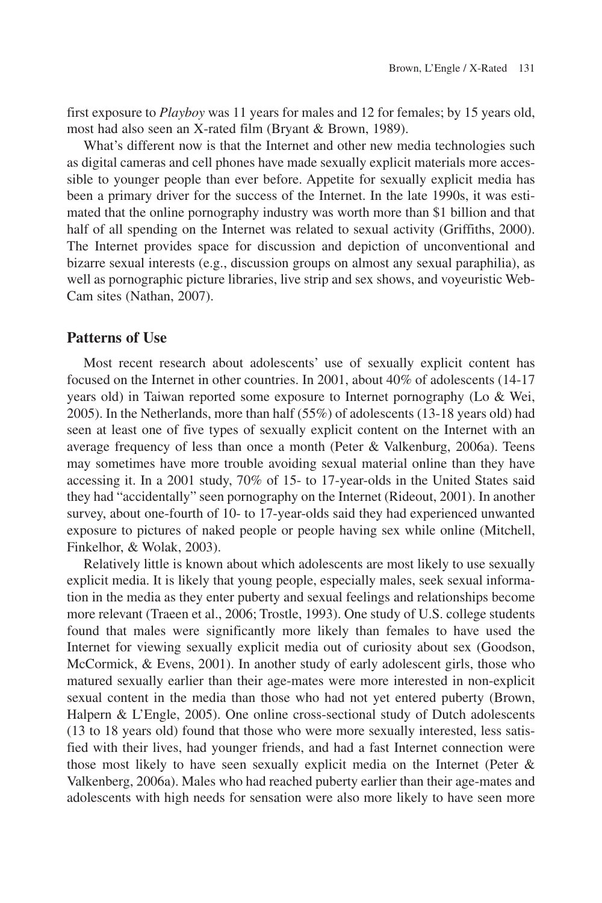first exposure to *Playboy* was 11 years for males and 12 for females; by 15 years old, most had also seen an X-rated film (Bryant & Brown, 1989).

What's different now is that the Internet and other new media technologies such as digital cameras and cell phones have made sexually explicit materials more accessible to younger people than ever before. Appetite for sexually explicit media has been a primary driver for the success of the Internet. In the late 1990s, it was estimated that the online pornography industry was worth more than \$1 billion and that half of all spending on the Internet was related to sexual activity (Griffiths, 2000). The Internet provides space for discussion and depiction of unconventional and bizarre sexual interests (e.g., discussion groups on almost any sexual paraphilia), as well as pornographic picture libraries, live strip and sex shows, and voyeuristic Web-Cam sites (Nathan, 2007).

#### **Patterns of Use**

Most recent research about adolescents' use of sexually explicit content has focused on the Internet in other countries. In 2001, about 40% of adolescents (14-17 years old) in Taiwan reported some exposure to Internet pornography (Lo & Wei, 2005). In the Netherlands, more than half (55%) of adolescents (13-18 years old) had seen at least one of five types of sexually explicit content on the Internet with an average frequency of less than once a month (Peter & Valkenburg, 2006a). Teens may sometimes have more trouble avoiding sexual material online than they have accessing it. In a 2001 study, 70% of 15- to 17-year-olds in the United States said they had "accidentally" seen pornography on the Internet (Rideout, 2001). In another survey, about one-fourth of 10- to 17-year-olds said they had experienced unwanted exposure to pictures of naked people or people having sex while online (Mitchell, Finkelhor, & Wolak, 2003).

Relatively little is known about which adolescents are most likely to use sexually explicit media. It is likely that young people, especially males, seek sexual information in the media as they enter puberty and sexual feelings and relationships become more relevant (Traeen et al., 2006; Trostle, 1993). One study of U.S. college students found that males were significantly more likely than females to have used the Internet for viewing sexually explicit media out of curiosity about sex (Goodson, McCormick, & Evens, 2001). In another study of early adolescent girls, those who matured sexually earlier than their age-mates were more interested in non-explicit sexual content in the media than those who had not yet entered puberty (Brown, Halpern & L'Engle, 2005). One online cross-sectional study of Dutch adolescents (13 to 18 years old) found that those who were more sexually interested, less satisfied with their lives, had younger friends, and had a fast Internet connection were those most likely to have seen sexually explicit media on the Internet (Peter & Valkenberg, 2006a). Males who had reached puberty earlier than their age-mates and adolescents with high needs for sensation were also more likely to have seen more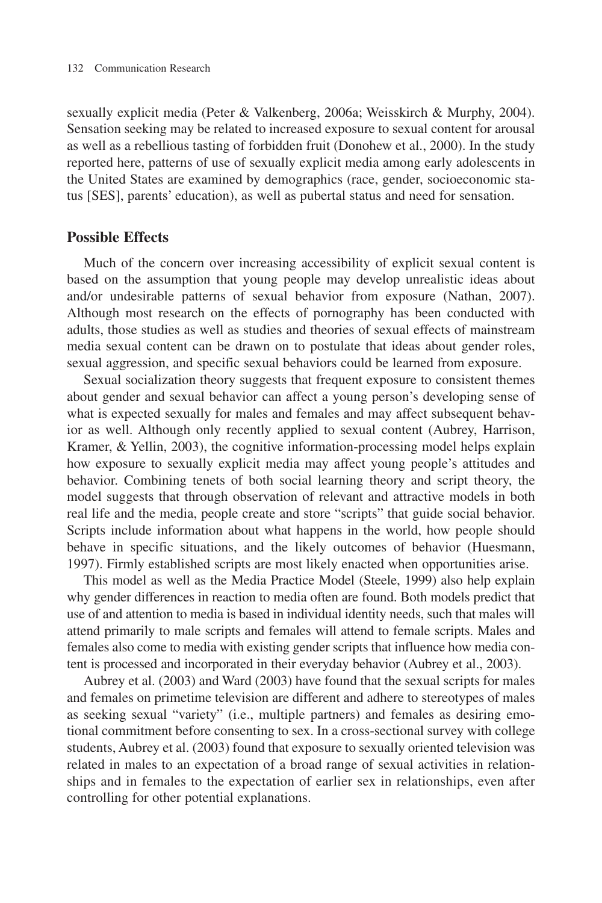sexually explicit media (Peter & Valkenberg, 2006a; Weisskirch & Murphy, 2004). Sensation seeking may be related to increased exposure to sexual content for arousal as well as a rebellious tasting of forbidden fruit (Donohew et al., 2000). In the study reported here, patterns of use of sexually explicit media among early adolescents in the United States are examined by demographics (race, gender, socioeconomic status [SES], parents' education), as well as pubertal status and need for sensation.

#### **Possible Effects**

Much of the concern over increasing accessibility of explicit sexual content is based on the assumption that young people may develop unrealistic ideas about and/or undesirable patterns of sexual behavior from exposure (Nathan, 2007). Although most research on the effects of pornography has been conducted with adults, those studies as well as studies and theories of sexual effects of mainstream media sexual content can be drawn on to postulate that ideas about gender roles, sexual aggression, and specific sexual behaviors could be learned from exposure.

Sexual socialization theory suggests that frequent exposure to consistent themes about gender and sexual behavior can affect a young person's developing sense of what is expected sexually for males and females and may affect subsequent behavior as well. Although only recently applied to sexual content (Aubrey, Harrison, Kramer, & Yellin, 2003), the cognitive information-processing model helps explain how exposure to sexually explicit media may affect young people's attitudes and behavior. Combining tenets of both social learning theory and script theory, the model suggests that through observation of relevant and attractive models in both real life and the media, people create and store "scripts" that guide social behavior. Scripts include information about what happens in the world, how people should behave in specific situations, and the likely outcomes of behavior (Huesmann, 1997). Firmly established scripts are most likely enacted when opportunities arise.

This model as well as the Media Practice Model (Steele, 1999) also help explain why gender differences in reaction to media often are found. Both models predict that use of and attention to media is based in individual identity needs, such that males will attend primarily to male scripts and females will attend to female scripts. Males and females also come to media with existing gender scripts that influence how media content is processed and incorporated in their everyday behavior (Aubrey et al., 2003).

Aubrey et al. (2003) and Ward (2003) have found that the sexual scripts for males and females on primetime television are different and adhere to stereotypes of males as seeking sexual "variety" (i.e., multiple partners) and females as desiring emotional commitment before consenting to sex. In a cross-sectional survey with college students, Aubrey et al. (2003) found that exposure to sexually oriented television was related in males to an expectation of a broad range of sexual activities in relationships and in females to the expectation of earlier sex in relationships, even after controlling for other potential explanations.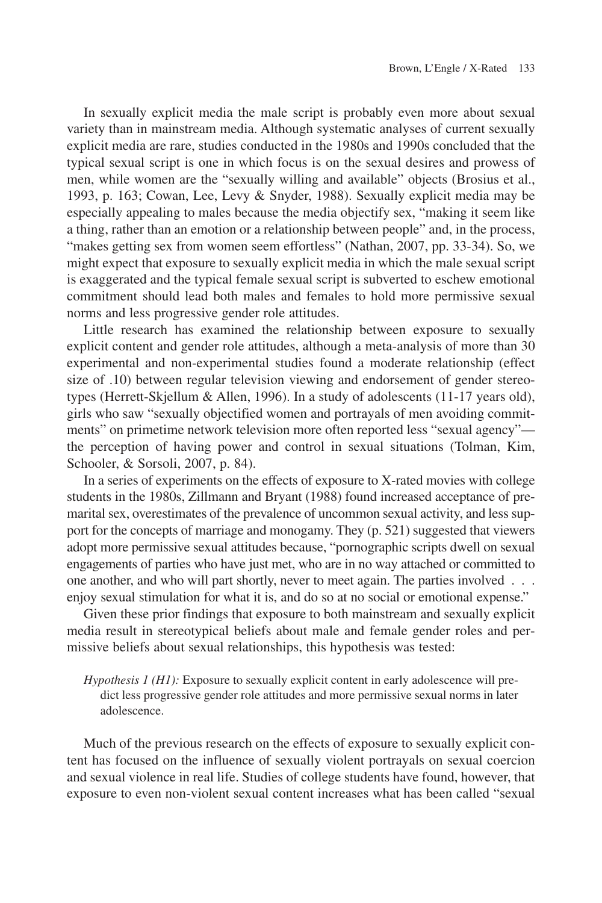In sexually explicit media the male script is probably even more about sexual variety than in mainstream media. Although systematic analyses of current sexually explicit media are rare, studies conducted in the 1980s and 1990s concluded that the typical sexual script is one in which focus is on the sexual desires and prowess of men, while women are the "sexually willing and available" objects (Brosius et al., 1993, p. 163; Cowan, Lee, Levy & Snyder, 1988). Sexually explicit media may be especially appealing to males because the media objectify sex, "making it seem like a thing, rather than an emotion or a relationship between people" and, in the process, "makes getting sex from women seem effortless" (Nathan, 2007, pp. 33-34). So, we might expect that exposure to sexually explicit media in which the male sexual script is exaggerated and the typical female sexual script is subverted to eschew emotional commitment should lead both males and females to hold more permissive sexual norms and less progressive gender role attitudes.

Little research has examined the relationship between exposure to sexually explicit content and gender role attitudes, although a meta-analysis of more than 30 experimental and non-experimental studies found a moderate relationship (effect size of .10) between regular television viewing and endorsement of gender stereotypes (Herrett-Skjellum & Allen, 1996). In a study of adolescents (11-17 years old), girls who saw "sexually objectified women and portrayals of men avoiding commitments" on primetime network television more often reported less "sexual agency" the perception of having power and control in sexual situations (Tolman, Kim, Schooler, & Sorsoli, 2007, p. 84).

In a series of experiments on the effects of exposure to X-rated movies with college students in the 1980s, Zillmann and Bryant (1988) found increased acceptance of premarital sex, overestimates of the prevalence of uncommon sexual activity, and less support for the concepts of marriage and monogamy. They (p. 521) suggested that viewers adopt more permissive sexual attitudes because, "pornographic scripts dwell on sexual engagements of parties who have just met, who are in no way attached or committed to one another, and who will part shortly, never to meet again. The parties involved... enjoy sexual stimulation for what it is, and do so at no social or emotional expense."

Given these prior findings that exposure to both mainstream and sexually explicit media result in stereotypical beliefs about male and female gender roles and permissive beliefs about sexual relationships, this hypothesis was tested:

*Hypothesis 1 (H1):* Exposure to sexually explicit content in early adolescence will predict less progressive gender role attitudes and more permissive sexual norms in later adolescence.

Much of the previous research on the effects of exposure to sexually explicit content has focused on the influence of sexually violent portrayals on sexual coercion and sexual violence in real life. Studies of college students have found, however, that exposure to even non-violent sexual content increases what has been called "sexual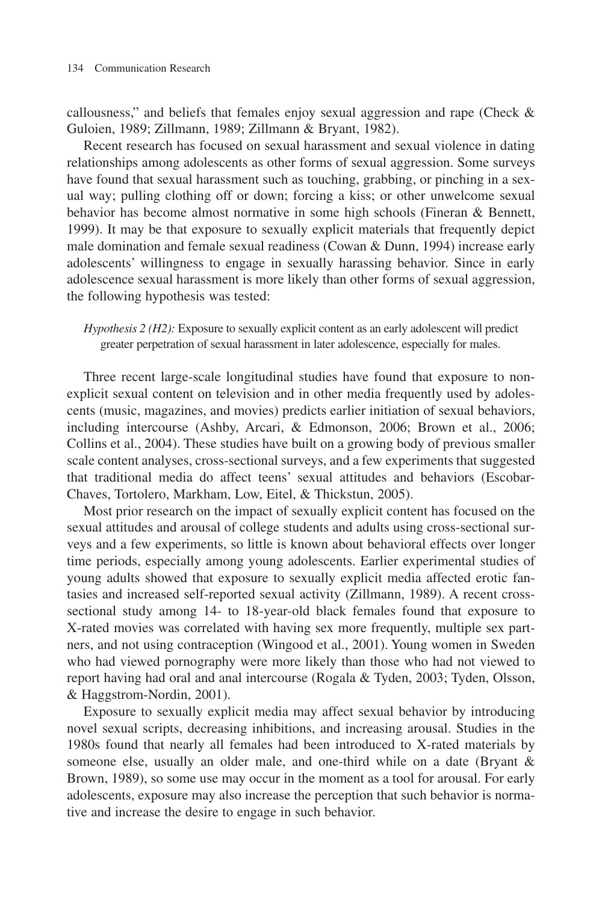callousness," and beliefs that females enjoy sexual aggression and rape (Check & Guloien, 1989; Zillmann, 1989; Zillmann & Bryant, 1982).

Recent research has focused on sexual harassment and sexual violence in dating relationships among adolescents as other forms of sexual aggression. Some surveys have found that sexual harassment such as touching, grabbing, or pinching in a sexual way; pulling clothing off or down; forcing a kiss; or other unwelcome sexual behavior has become almost normative in some high schools (Fineran & Bennett, 1999). It may be that exposure to sexually explicit materials that frequently depict male domination and female sexual readiness (Cowan & Dunn, 1994) increase early adolescents' willingness to engage in sexually harassing behavior. Since in early adolescence sexual harassment is more likely than other forms of sexual aggression, the following hypothesis was tested:

*Hypothesis 2 (H2):* Exposure to sexually explicit content as an early adolescent will predict greater perpetration of sexual harassment in later adolescence, especially for males.

Three recent large-scale longitudinal studies have found that exposure to nonexplicit sexual content on television and in other media frequently used by adolescents (music, magazines, and movies) predicts earlier initiation of sexual behaviors, including intercourse (Ashby, Arcari, & Edmonson, 2006; Brown et al., 2006; Collins et al., 2004). These studies have built on a growing body of previous smaller scale content analyses, cross-sectional surveys, and a few experiments that suggested that traditional media do affect teens' sexual attitudes and behaviors (Escobar-Chaves, Tortolero, Markham, Low, Eitel, & Thickstun, 2005).

Most prior research on the impact of sexually explicit content has focused on the sexual attitudes and arousal of college students and adults using cross-sectional surveys and a few experiments, so little is known about behavioral effects over longer time periods, especially among young adolescents. Earlier experimental studies of young adults showed that exposure to sexually explicit media affected erotic fantasies and increased self-reported sexual activity (Zillmann, 1989). A recent crosssectional study among 14- to 18-year-old black females found that exposure to X-rated movies was correlated with having sex more frequently, multiple sex partners, and not using contraception (Wingood et al., 2001). Young women in Sweden who had viewed pornography were more likely than those who had not viewed to report having had oral and anal intercourse (Rogala & Tyden, 2003; Tyden, Olsson, & Haggstrom-Nordin, 2001).

Exposure to sexually explicit media may affect sexual behavior by introducing novel sexual scripts, decreasing inhibitions, and increasing arousal. Studies in the 1980s found that nearly all females had been introduced to X-rated materials by someone else, usually an older male, and one-third while on a date (Bryant & Brown, 1989), so some use may occur in the moment as a tool for arousal. For early adolescents, exposure may also increase the perception that such behavior is normative and increase the desire to engage in such behavior.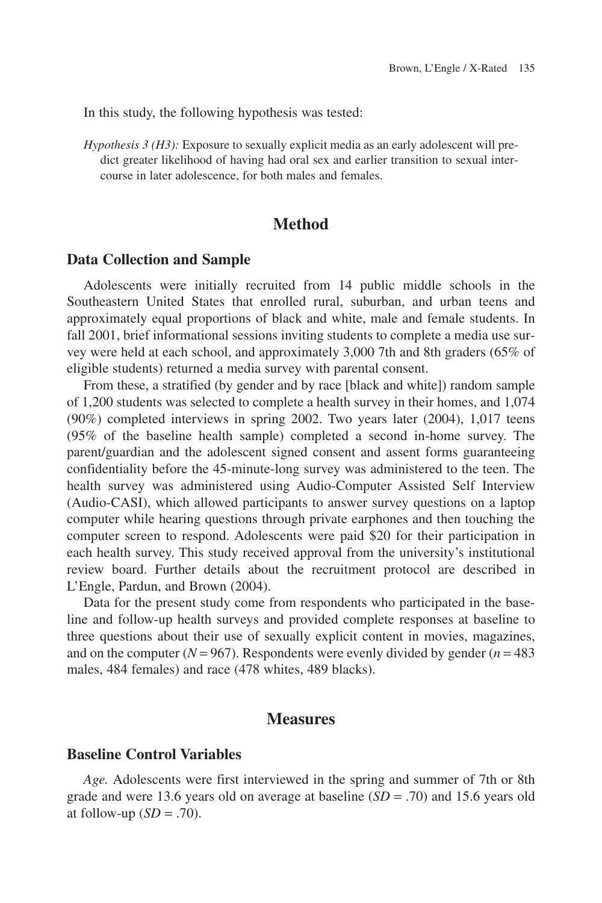In this study, the following hypothesis was tested:

*Hypothesis 3 (H3):* Exposure to sexually explicit media as an early adolescent will predict greater likelihood of having had oral sex and earlier transition to sexual intercourse in later adolescence, for both males and females.

# **Method**

#### **Data Collection and Sample**

Adolescents were initially recruited from 14 public middle schools in the Southeastern United States that enrolled rural, suburban, and urban teens and approximately equal proportions of black and white, male and female students. In fall 2001, brief informational sessions inviting students to complete a media use survey were held at each school, and approximately 3,000 7th and 8th graders (65% of eligible students) returned a media survey with parental consent.

From these, a stratified (by gender and by race [black and white]) random sample of 1,200 students was selected to complete a health survey in their homes, and 1,074 (90%) completed interviews in spring 2002. Two years later (2004), 1,017 teens (95% of the baseline health sample) completed a second in-home survey. The parent/guardian and the adolescent signed consent and assent forms guaranteeing confidentiality before the 45-minute-long survey was administered to the teen. The health survey was administered using Audio-Computer Assisted Self Interview (Audio-CASI), which allowed participants to answer survey questions on a laptop computer while hearing questions through private earphones and then touching the computer screen to respond. Adolescents were paid \$20 for their participation in each health survey. This study received approval from the university's institutional review board. Further details about the recruitment protocol are described in L'Engle, Pardun, and Brown (2004).

Data for the present study come from respondents who participated in the baseline and follow-up health surveys and provided complete responses at baseline to three questions about their use of sexually explicit content in movies, magazines, and on the computer  $(N = 967)$ . Respondents were evenly divided by gender  $(n = 483)$ males, 484 females) and race (478 whites, 489 blacks).

#### **Measures**

#### **Baseline Control Variables**

*Age.* Adolescents were first interviewed in the spring and summer of 7th or 8th grade and were 13.6 years old on average at baseline (*SD* = .70) and 15.6 years old at follow-up  $(SD = .70)$ .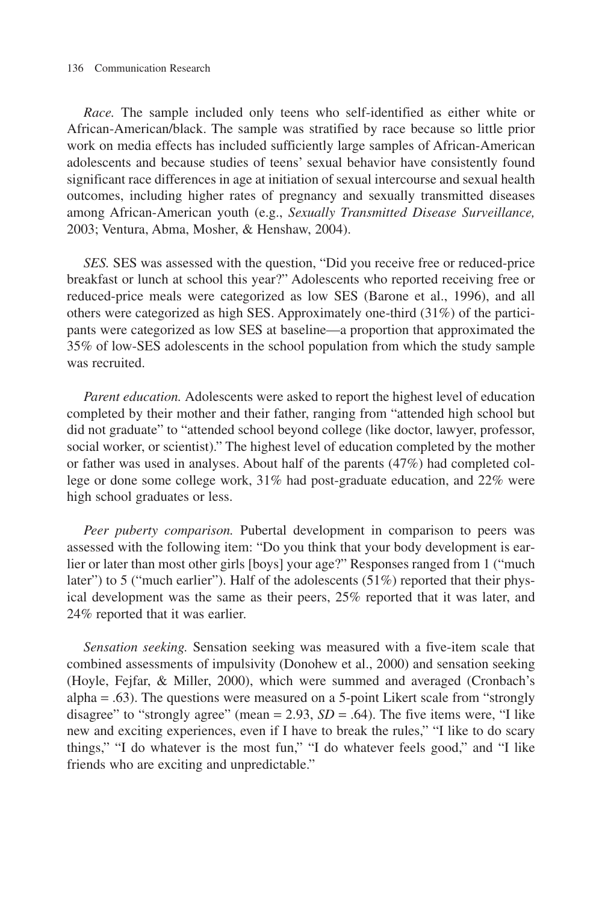*Race.* The sample included only teens who self-identified as either white or African-American/black. The sample was stratified by race because so little prior work on media effects has included sufficiently large samples of African-American adolescents and because studies of teens' sexual behavior have consistently found significant race differences in age at initiation of sexual intercourse and sexual health outcomes, including higher rates of pregnancy and sexually transmitted diseases among African-American youth (e.g., *Sexually Transmitted Disease Surveillance,* 2003; Ventura, Abma, Mosher, & Henshaw, 2004).

*SES.* SES was assessed with the question, "Did you receive free or reduced-price breakfast or lunch at school this year?" Adolescents who reported receiving free or reduced-price meals were categorized as low SES (Barone et al., 1996), and all others were categorized as high SES. Approximately one-third (31%) of the participants were categorized as low SES at baseline—a proportion that approximated the 35% of low-SES adolescents in the school population from which the study sample was recruited.

*Parent education.* Adolescents were asked to report the highest level of education completed by their mother and their father, ranging from "attended high school but did not graduate" to "attended school beyond college (like doctor, lawyer, professor, social worker, or scientist)." The highest level of education completed by the mother or father was used in analyses. About half of the parents (47%) had completed college or done some college work, 31% had post-graduate education, and 22% were high school graduates or less.

*Peer puberty comparison.* Pubertal development in comparison to peers was assessed with the following item: "Do you think that your body development is earlier or later than most other girls [boys] your age?" Responses ranged from 1 ("much later") to 5 ("much earlier"). Half of the adolescents (51%) reported that their physical development was the same as their peers, 25% reported that it was later, and 24% reported that it was earlier.

*Sensation seeking.* Sensation seeking was measured with a five-item scale that combined assessments of impulsivity (Donohew et al., 2000) and sensation seeking (Hoyle, Fejfar, & Miller, 2000), which were summed and averaged (Cronbach's alpha  $=$  .63). The questions were measured on a 5-point Likert scale from "strongly disagree" to "strongly agree" (mean  $= 2.93$ ,  $SD = .64$ ). The five items were, "I like new and exciting experiences, even if I have to break the rules," "I like to do scary things," "I do whatever is the most fun," "I do whatever feels good," and "I like friends who are exciting and unpredictable."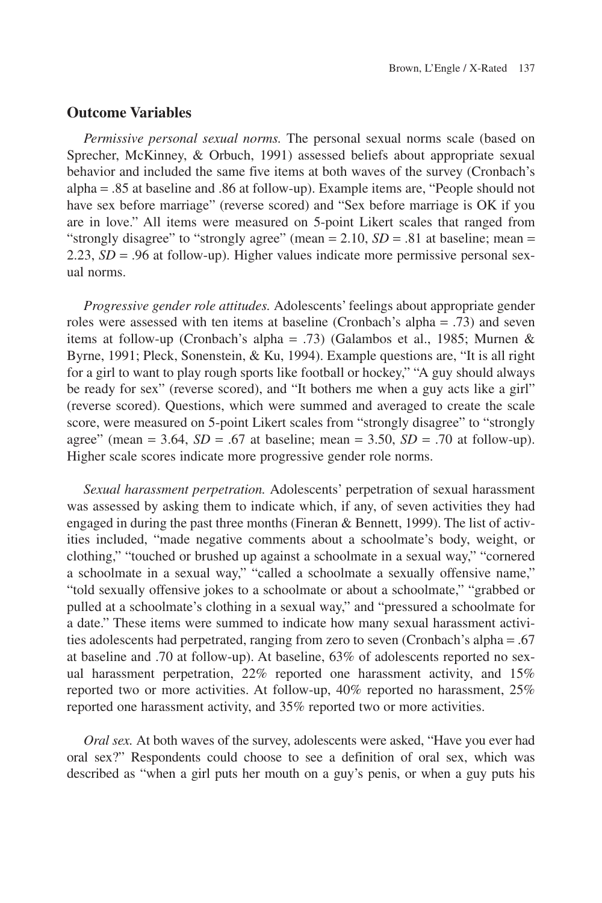### **Outcome Variables**

*Permissive personal sexual norms.* The personal sexual norms scale (based on Sprecher, McKinney, & Orbuch, 1991) assessed beliefs about appropriate sexual behavior and included the same five items at both waves of the survey (Cronbach's alpha = .85 at baseline and .86 at follow-up). Example items are, "People should not have sex before marriage" (reverse scored) and "Sex before marriage is OK if you are in love." All items were measured on 5-point Likert scales that ranged from "strongly disagree" to "strongly agree" (mean  $= 2.10$ ,  $SD = .81$  at baseline; mean  $=$ 2.23, *SD* = .96 at follow-up). Higher values indicate more permissive personal sexual norms.

*Progressive gender role attitudes.* Adolescents' feelings about appropriate gender roles were assessed with ten items at baseline (Cronbach's alpha  $= .73$ ) and seven items at follow-up (Cronbach's alpha = .73) (Galambos et al., 1985; Murnen & Byrne, 1991; Pleck, Sonenstein, & Ku, 1994). Example questions are, "It is all right for a girl to want to play rough sports like football or hockey," "A guy should always be ready for sex" (reverse scored), and "It bothers me when a guy acts like a girl" (reverse scored). Questions, which were summed and averaged to create the scale score, were measured on 5-point Likert scales from "strongly disagree" to "strongly agree" (mean  $= 3.64$ ,  $SD = .67$  at baseline; mean  $= 3.50$ ,  $SD = .70$  at follow-up). Higher scale scores indicate more progressive gender role norms.

*Sexual harassment perpetration.* Adolescents' perpetration of sexual harassment was assessed by asking them to indicate which, if any, of seven activities they had engaged in during the past three months (Fineran & Bennett, 1999). The list of activities included, "made negative comments about a schoolmate's body, weight, or clothing," "touched or brushed up against a schoolmate in a sexual way," "cornered a schoolmate in a sexual way," "called a schoolmate a sexually offensive name," "told sexually offensive jokes to a schoolmate or about a schoolmate," "grabbed or pulled at a schoolmate's clothing in a sexual way," and "pressured a schoolmate for a date." These items were summed to indicate how many sexual harassment activities adolescents had perpetrated, ranging from zero to seven (Cronbach's alpha = .67 at baseline and .70 at follow-up). At baseline, 63% of adolescents reported no sexual harassment perpetration, 22% reported one harassment activity, and 15% reported two or more activities. At follow-up, 40% reported no harassment, 25% reported one harassment activity, and 35% reported two or more activities.

*Oral sex.* At both waves of the survey, adolescents were asked, "Have you ever had oral sex?" Respondents could choose to see a definition of oral sex, which was described as "when a girl puts her mouth on a guy's penis, or when a guy puts his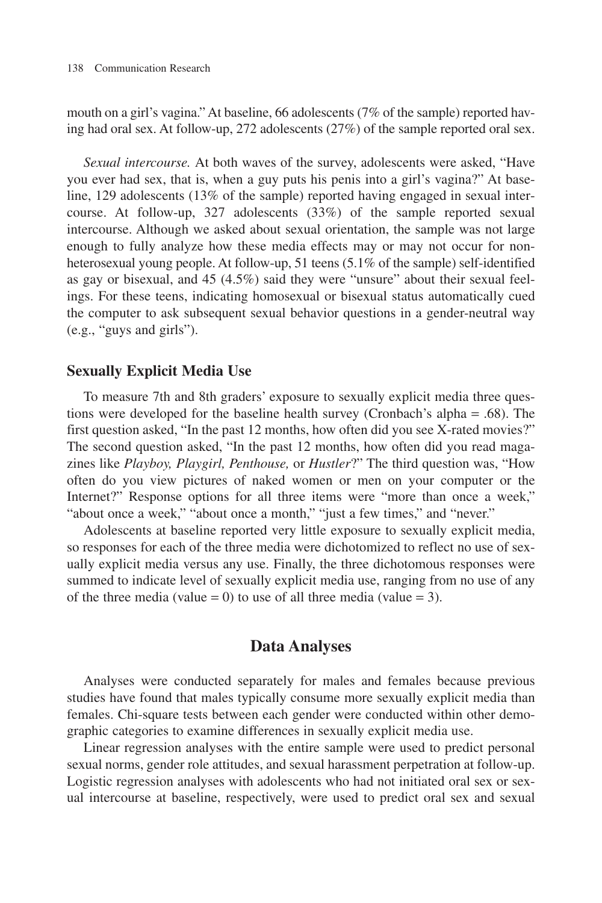mouth on a girl's vagina." At baseline, 66 adolescents (7% of the sample) reported having had oral sex. At follow-up, 272 adolescents (27%) of the sample reported oral sex.

*Sexual intercourse.* At both waves of the survey, adolescents were asked, "Have you ever had sex, that is, when a guy puts his penis into a girl's vagina?" At baseline, 129 adolescents (13% of the sample) reported having engaged in sexual intercourse. At follow-up, 327 adolescents (33%) of the sample reported sexual intercourse. Although we asked about sexual orientation, the sample was not large enough to fully analyze how these media effects may or may not occur for nonheterosexual young people. At follow-up, 51 teens (5.1% of the sample) self-identified as gay or bisexual, and 45 (4.5%) said they were "unsure" about their sexual feelings. For these teens, indicating homosexual or bisexual status automatically cued the computer to ask subsequent sexual behavior questions in a gender-neutral way (e.g., "guys and girls").

#### **Sexually Explicit Media Use**

To measure 7th and 8th graders' exposure to sexually explicit media three questions were developed for the baseline health survey (Cronbach's alpha = .68). The first question asked, "In the past 12 months, how often did you see X-rated movies?" The second question asked, "In the past 12 months, how often did you read magazines like *Playboy, Playgirl, Penthouse,* or *Hustler*?" The third question was, "How often do you view pictures of naked women or men on your computer or the Internet?" Response options for all three items were "more than once a week," "about once a week," "about once a month," "just a few times," and "never."

Adolescents at baseline reported very little exposure to sexually explicit media, so responses for each of the three media were dichotomized to reflect no use of sexually explicit media versus any use. Finally, the three dichotomous responses were summed to indicate level of sexually explicit media use, ranging from no use of any of the three media (value = 0) to use of all three media (value = 3).

# **Data Analyses**

Analyses were conducted separately for males and females because previous studies have found that males typically consume more sexually explicit media than females. Chi-square tests between each gender were conducted within other demographic categories to examine differences in sexually explicit media use.

Linear regression analyses with the entire sample were used to predict personal sexual norms, gender role attitudes, and sexual harassment perpetration at follow-up. Logistic regression analyses with adolescents who had not initiated oral sex or sexual intercourse at baseline, respectively, were used to predict oral sex and sexual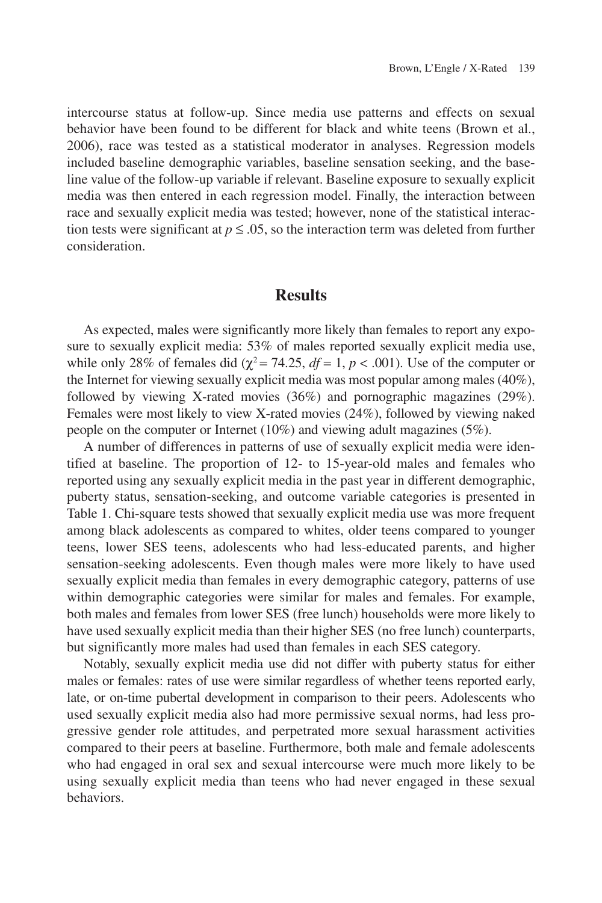intercourse status at follow-up. Since media use patterns and effects on sexual behavior have been found to be different for black and white teens (Brown et al., 2006), race was tested as a statistical moderator in analyses. Regression models included baseline demographic variables, baseline sensation seeking, and the baseline value of the follow-up variable if relevant. Baseline exposure to sexually explicit media was then entered in each regression model. Finally, the interaction between race and sexually explicit media was tested; however, none of the statistical interaction tests were significant at  $p \leq 0.05$ , so the interaction term was deleted from further consideration.

## **Results**

As expected, males were significantly more likely than females to report any exposure to sexually explicit media: 53% of males reported sexually explicit media use, while only 28% of females did ( $\chi^2$  = 74.25, *df* = 1, *p* < .001). Use of the computer or the Internet for viewing sexually explicit media was most popular among males (40%), followed by viewing X-rated movies (36%) and pornographic magazines (29%). Females were most likely to view X-rated movies (24%), followed by viewing naked people on the computer or Internet (10%) and viewing adult magazines (5%).

A number of differences in patterns of use of sexually explicit media were identified at baseline. The proportion of 12- to 15-year-old males and females who reported using any sexually explicit media in the past year in different demographic, puberty status, sensation-seeking, and outcome variable categories is presented in Table 1. Chi-square tests showed that sexually explicit media use was more frequent among black adolescents as compared to whites, older teens compared to younger teens, lower SES teens, adolescents who had less-educated parents, and higher sensation-seeking adolescents. Even though males were more likely to have used sexually explicit media than females in every demographic category, patterns of use within demographic categories were similar for males and females. For example, both males and females from lower SES (free lunch) households were more likely to have used sexually explicit media than their higher SES (no free lunch) counterparts, but significantly more males had used than females in each SES category.

Notably, sexually explicit media use did not differ with puberty status for either males or females: rates of use were similar regardless of whether teens reported early, late, or on-time pubertal development in comparison to their peers. Adolescents who used sexually explicit media also had more permissive sexual norms, had less progressive gender role attitudes, and perpetrated more sexual harassment activities compared to their peers at baseline. Furthermore, both male and female adolescents who had engaged in oral sex and sexual intercourse were much more likely to be using sexually explicit media than teens who had never engaged in these sexual behaviors.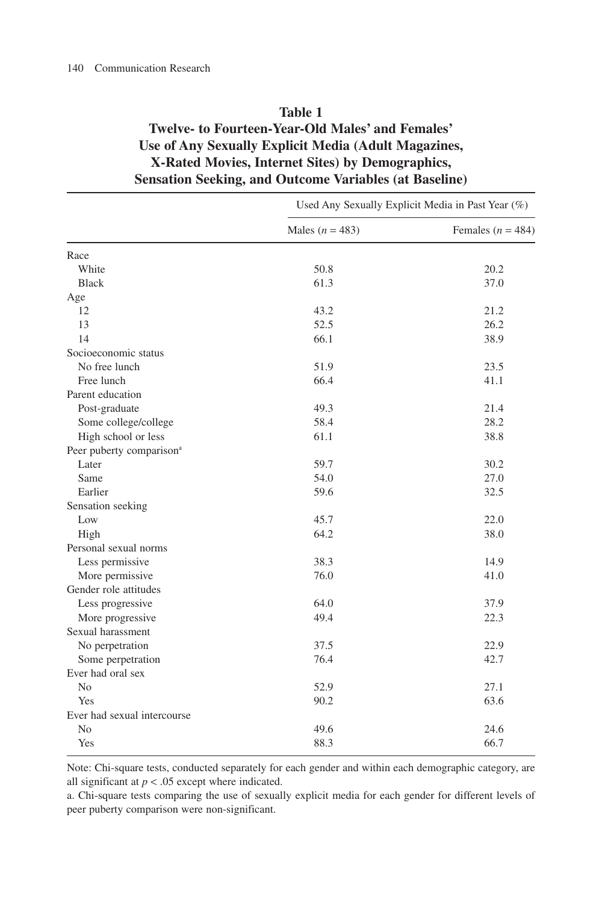#### **Table 1**

## **Twelve- to Fourteen-Year-Old Males' and Females' Use of Any Sexually Explicit Media (Adult Magazines, X-Rated Movies, Internet Sites) by Demographics, Sensation Seeking, and Outcome Variables (at Baseline)**

|                                      |                   | Used Any Sexually Explicit Media in Past Year (%) |
|--------------------------------------|-------------------|---------------------------------------------------|
|                                      | Males $(n = 483)$ | Females ( $n = 484$ )                             |
| Race                                 |                   |                                                   |
| White                                | 50.8              | 20.2                                              |
| <b>Black</b>                         | 61.3              | 37.0                                              |
| Age                                  |                   |                                                   |
| 12                                   | 43.2              | 21.2                                              |
| 13                                   | 52.5              | 26.2                                              |
| 14                                   | 66.1              | 38.9                                              |
| Socioeconomic status                 |                   |                                                   |
| No free lunch                        | 51.9              | 23.5                                              |
| Free lunch                           | 66.4              | 41.1                                              |
| Parent education                     |                   |                                                   |
| Post-graduate                        | 49.3              | 21.4                                              |
| Some college/college                 | 58.4              | 28.2                                              |
| High school or less                  | 61.1              | 38.8                                              |
| Peer puberty comparison <sup>a</sup> |                   |                                                   |
| Later                                | 59.7              | 30.2                                              |
| Same                                 | 54.0              | 27.0                                              |
| Earlier                              | 59.6              | 32.5                                              |
| Sensation seeking                    |                   |                                                   |
| Low                                  | 45.7              | 22.0                                              |
| High                                 | 64.2              | 38.0                                              |
| Personal sexual norms                |                   |                                                   |
| Less permissive                      | 38.3              | 14.9                                              |
| More permissive                      | 76.0              | 41.0                                              |
| Gender role attitudes                |                   |                                                   |
| Less progressive                     | 64.0              | 37.9                                              |
| More progressive                     | 49.4              | 22.3                                              |
| Sexual harassment                    |                   |                                                   |
| No perpetration                      | 37.5              | 22.9                                              |
| Some perpetration                    | 76.4              | 42.7                                              |
| Ever had oral sex                    |                   |                                                   |
| N <sub>0</sub>                       | 52.9              | 27.1                                              |
| Yes                                  | 90.2              | 63.6                                              |
| Ever had sexual intercourse          |                   |                                                   |
| N <sub>o</sub>                       | 49.6              | 24.6                                              |
| Yes                                  | 88.3              | 66.7                                              |

Note: Chi-square tests, conducted separately for each gender and within each demographic category, are all significant at  $p < .05$  except where indicated.

a. Chi-square tests comparing the use of sexually explicit media for each gender for different levels of peer puberty comparison were non-significant.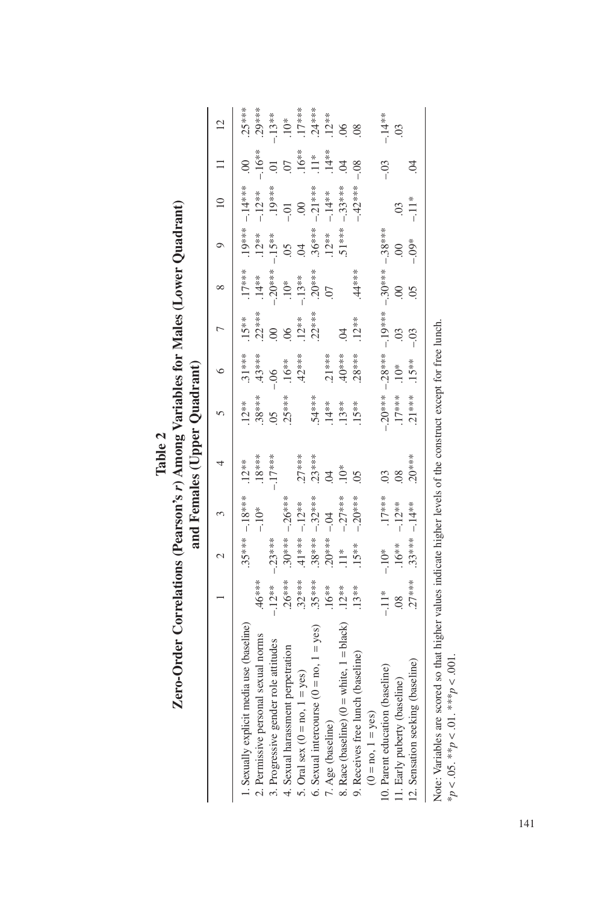|                                                                                                           |          |                   |                 | and Females (Upper Quadrant) |          |                              |                          |                          |                           |                |                           |                   |
|-----------------------------------------------------------------------------------------------------------|----------|-------------------|-----------------|------------------------------|----------|------------------------------|--------------------------|--------------------------|---------------------------|----------------|---------------------------|-------------------|
|                                                                                                           |          | $\mathcal{L}$     |                 |                              |          | $\epsilon$                   | $\overline{a}$           |                          |                           | 10             |                           | $\overline{2}$    |
| 1. Sexually explicit media use (baseline)                                                                 |          |                   | $.35***-.18***$ | $.12**$                      | $.12***$ | $.31***$                     | $.15**$                  | $.17***$                 | $.19***$                  | $-.14***$      | $\ddot{\circ}$            | $.25***$          |
| 2. Permissive personal sexual norms                                                                       | $46***$  |                   | $-10*$          | $.18***$                     | $.38***$ | $.43***$                     | $.22***$                 | $.14**$                  | $.12***$                  | $-.12**$       | $-16**$                   | $.29***$          |
| 3. Progressive gender role attitudes                                                                      | $-.12**$ | $-.23***$         |                 | $-.17***$                    | 05       | $-0.06$                      | $\odot$                  | $-20***$                 | $-.15***$                 | $.19***$       |                           | $-13**$           |
| 4. Sexual harassment perpetration                                                                         | $.26***$ | $.30***$          | $-26***$        |                              | $.25***$ | $.16**$                      | $\frac{8}{2}$            | $.10*$                   | $\widetilde{\mathrm{SO}}$ |                |                           | $.10*$            |
| 5. Oral sex ( $0 = no$ , $1 = yes$ )                                                                      | $.32***$ | $41***$           | $-.12**$        | $.27***$                     |          | $.42***$                     | $.12***$                 | $-.13**$                 | $\ddot{\mathrm{S}}$       | $\ddot{\circ}$ | $.16**$                   | $.17***$          |
| 6. Sexual intercourse ( $0 = no$ , $1 = yes$ )                                                            | $.35***$ | $.38***$          | $-.32***$       | $.23***$                     | 54 ***   |                              | $.22***$                 | $.20***$                 | $.36***$                  | $-21***$       | $\stackrel{*}{=}$         | $.24***$          |
| 7. Age (baseline)                                                                                         | $.16***$ | $.20***$          | $\frac{4}{1}$   | $\overline{0}$               | $.14**$  | $.21***$                     |                          | $\overline{C}$           | $.12***$                  | $-14**$        | $.14**$                   | $.12***$          |
| 8. Race (baseline) ( $0 =$ white, $1 =$ black)                                                            | $.12***$ | $\prod_{i=1}^{n}$ | $-.27***$       | $10*$                        | $.13***$ | 40***                        | $\widetilde{\mathrm{C}}$ |                          | $51***$                   | $-.33***$      | S.                        | $\ddot{\text{0}}$ |
| 9. Receives free lunch (baseline)                                                                         | $.13**$  | $.15***$          | $-20***$        | 05                           | $.15***$ | $.28***$                     | $.12***$                 | $.44***$                 |                           | $-.42***$      | $-0.8$                    | $\overline{08}$   |
| $(0 = no, 1 = yes)$                                                                                       |          |                   |                 |                              |          |                              |                          |                          |                           |                |                           |                   |
| 10. Parent education (baseline)                                                                           | $-11*$   | $-10*$            | $.17***$        | $\overline{0}$               |          | *** 01 - *** 80. - *** 00. - |                          | $-30***$                 | $-38***$                  |                | $-0.03$                   | $-.14**$          |
| 11. Early puberty (baseline)                                                                              | 08       | $.16**$           | $-.12**$        | $\overline{08}$              | $.17***$ | $.10*$                       |                          |                          |                           | $\mathcal{S}$  |                           | $\overline{03}$   |
| 12. Sensation seeking (baseline)                                                                          | $.27***$ | $.33***$          | $-14**$         | $.20***$                     | $.21***$ | $.15**$                      |                          | $\widetilde{\mathrm{C}}$ | $-0.09*$                  | $-11*$         | $\widetilde{\varepsilon}$ |                   |
| Note: Voriable are even and a that higher in what is at a bigher lowless of the account or any face line. |          |                   |                 |                              |          |                              |                          |                          |                           |                |                           |                   |

|   | Ì<br>ļ                             |    |
|---|------------------------------------|----|
|   | $\overline{\phantom{a}}$           |    |
|   | i                                  |    |
|   |                                    |    |
|   |                                    |    |
| l | ֧֦֦֝֟֟֓֝֝֝ <b>֟֘</b> ֟֘֝<br>)<br>ì | Ĭ  |
|   | ;<br>;                             |    |
|   |                                    | i, |
|   |                                    |    |
|   |                                    |    |
|   | ľ                                  |    |

Note: Variables are scored so that higher values indicate higher levels of the construct except for free lunch.<br>\* $p < .05$ , \*\* $p < .01$ . \*\*\* $p < .001$ . Note: Variables are scored so that higher values indicate higher levels of the construct except for free lunch. \**p* < .05. \*\**p* < .01. \*\*\**p* < .001.

141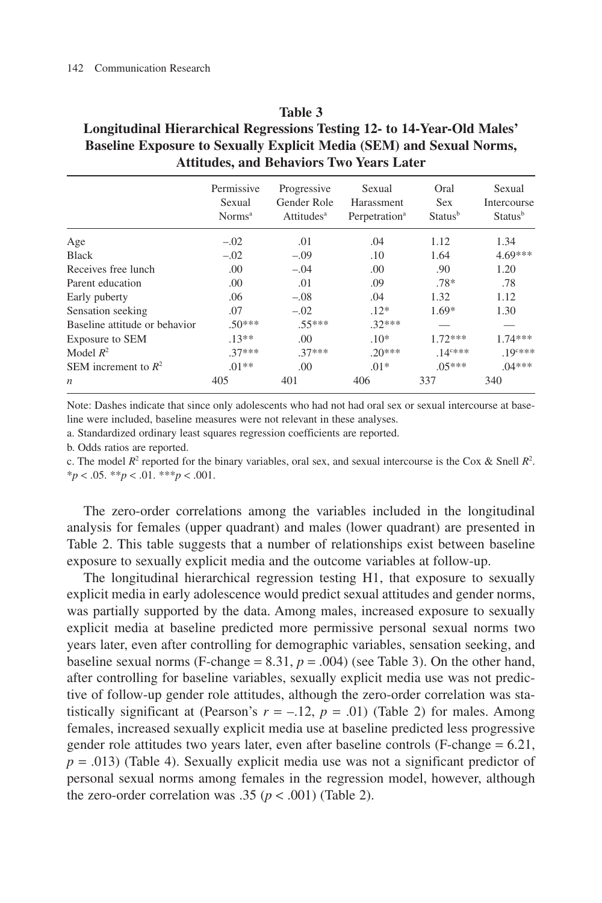#### **Table 3**

| Longitudinal Hierarchical Regressions Testing 12- to 14-Year-Old Males'     |
|-----------------------------------------------------------------------------|
| <b>Baseline Exposure to Sexually Explicit Media (SEM) and Sexual Norms,</b> |
| <b>Attitudes, and Behaviors Two Years Later</b>                             |

|                               | Permissive<br>Sexual<br>Norms <sup>a</sup> | Progressive<br>Gender Role<br>Attitudes <sup>a</sup> | Sexual<br>Harassment<br>Perpetration <sup>a</sup> | Oral<br><b>Sex</b><br><b>Status</b> <sup>b</sup> | Sexual<br>Intercourse<br><b>Status</b> <sup>b</sup> |
|-------------------------------|--------------------------------------------|------------------------------------------------------|---------------------------------------------------|--------------------------------------------------|-----------------------------------------------------|
| Age                           | $-.02$                                     | .01                                                  | .04                                               | 1.12                                             | 1.34                                                |
| <b>Black</b>                  | $-.02$                                     | $-.09$                                               | .10                                               | 1.64                                             | $4.69***$                                           |
| Receives free lunch           | .00                                        | $-.04$                                               | .00                                               | .90                                              | 1.20                                                |
| Parent education              | .00                                        | .01                                                  | .09                                               | $.78*$                                           | .78                                                 |
| Early puberty                 | .06                                        | $-.08$                                               | .04                                               | 1.32                                             | 1.12                                                |
| Sensation seeking             | .07                                        | $-.02$                                               | $.12*$                                            | 1.69*                                            | 1.30                                                |
| Baseline attitude or behavior | $.50***$                                   | $.55***$                                             | $.32***$                                          |                                                  |                                                     |
| Exposure to SEM               | $.13**$                                    | .00.                                                 | $.10*$                                            | $1.72***$                                        | $1.74***$                                           |
| Model $R^2$                   | $.37***$                                   | $.37***$                                             | $20***$                                           | $.14^{\circ***}$                                 | $.19$ <sup>c***</sup>                               |
| SEM increment to $R^2$        | $.01**$                                    | .00.                                                 | $.01*$                                            | $.05***$                                         | $.04***$                                            |
| n                             | 405                                        | 401                                                  | 406                                               | 337                                              | 340                                                 |

Note: Dashes indicate that since only adolescents who had not had oral sex or sexual intercourse at baseline were included, baseline measures were not relevant in these analyses.

a. Standardized ordinary least squares regression coefficients are reported.

b. Odds ratios are reported.

c. The model  $R^2$  reported for the binary variables, oral sex, and sexual intercourse is the Cox & Snell  $R^2$ . \**p* < .05. \*\**p* < .01. \*\*\**p* < .001.

The zero-order correlations among the variables included in the longitudinal analysis for females (upper quadrant) and males (lower quadrant) are presented in Table 2. This table suggests that a number of relationships exist between baseline exposure to sexually explicit media and the outcome variables at follow-up.

The longitudinal hierarchical regression testing H1, that exposure to sexually explicit media in early adolescence would predict sexual attitudes and gender norms, was partially supported by the data. Among males, increased exposure to sexually explicit media at baseline predicted more permissive personal sexual norms two years later, even after controlling for demographic variables, sensation seeking, and baseline sexual norms (F-change  $= 8.31$ ,  $p = .004$ ) (see Table 3). On the other hand, after controlling for baseline variables, sexually explicit media use was not predictive of follow-up gender role attitudes, although the zero-order correlation was statistically significant at (Pearson's  $r = -.12$ ,  $p = .01$ ) (Table 2) for males. Among females, increased sexually explicit media use at baseline predicted less progressive gender role attitudes two years later, even after baseline controls (F-change  $= 6.21$ ,  $p = .013$ ) (Table 4). Sexually explicit media use was not a significant predictor of personal sexual norms among females in the regression model, however, although the zero-order correlation was .35 ( $p < .001$ ) (Table 2).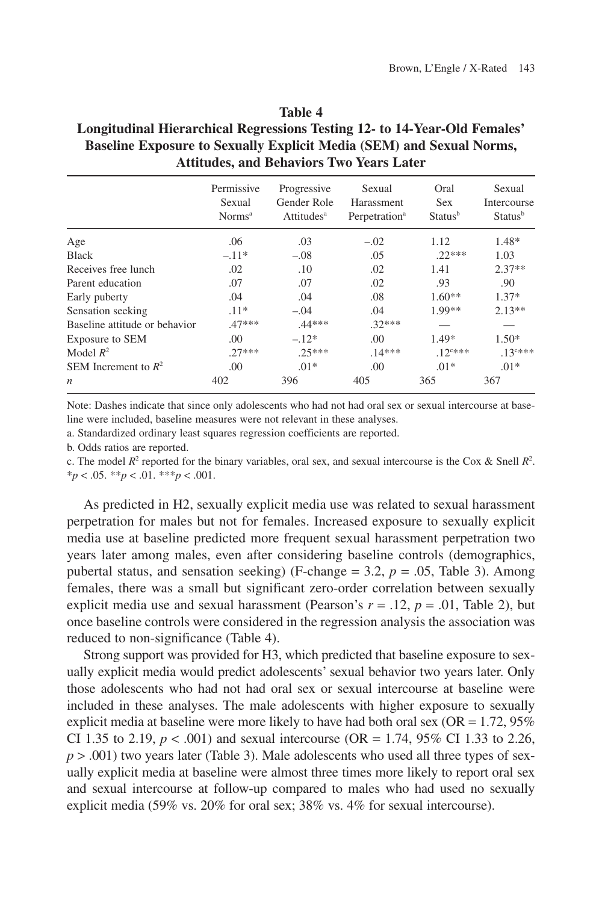#### **Table 4**

| Longitudinal Hierarchical Regressions Testing 12- to 14-Year-Old Females' |
|---------------------------------------------------------------------------|
| Baseline Exposure to Sexually Explicit Media (SEM) and Sexual Norms,      |
| <b>Attitudes, and Behaviors Two Years Later</b>                           |

|                               | Permissive<br>Sexual<br>Norms <sup>a</sup> | Progressive<br>Gender Role<br>Attitudes <sup>a</sup> | Sexual<br>Harassment<br>Perpetration <sup>a</sup> | Oral<br><b>Sex</b><br>Status <sup>b</sup> | Sexual<br>Intercourse<br>Status <sup>b</sup> |
|-------------------------------|--------------------------------------------|------------------------------------------------------|---------------------------------------------------|-------------------------------------------|----------------------------------------------|
| Age                           | .06                                        | .03                                                  | $-.02$                                            | 1.12                                      | 1.48*                                        |
| <b>Black</b>                  | $-.11*$                                    | $-.08$                                               | .05                                               | $22***$                                   | 1.03                                         |
| Receives free lunch           | .02                                        | .10                                                  | .02                                               | 1.41                                      | $2.37**$                                     |
| Parent education              | .07                                        | .07                                                  | .02                                               | .93                                       | .90                                          |
| Early puberty                 | .04                                        | .04                                                  | .08                                               | $1.60**$                                  | $1.37*$                                      |
| Sensation seeking             | $.11*$                                     | $-.04$                                               | .04                                               | 1.99**                                    | $2.13**$                                     |
| Baseline attitude or behavior | $.47***$                                   | .44***                                               | $.32***$                                          |                                           |                                              |
| <b>Exposure to SEM</b>        | .00                                        | $-.12*$                                              | .00.                                              | $1.49*$                                   | $1.50*$                                      |
| Model $R^2$                   | $.27***$                                   | $.25***$                                             | $.14***$                                          | $.12$ <sup>c***</sup>                     | $.13$ <sup>c***</sup>                        |
| SEM Increment to $R^2$        | .00                                        | $.01*$                                               | .00                                               | $.01*$                                    | $.01*$                                       |
| $\boldsymbol{n}$              | 402                                        | 396                                                  | 405                                               | 365                                       | 367                                          |

Note: Dashes indicate that since only adolescents who had not had oral sex or sexual intercourse at baseline were included, baseline measures were not relevant in these analyses.

a. Standardized ordinary least squares regression coefficients are reported.

b. Odds ratios are reported.

c. The model  $R^2$  reported for the binary variables, oral sex, and sexual intercourse is the Cox & Snell  $R^2$ . \**p* < .05. \*\**p* < .01. \*\*\**p* < .001.

As predicted in H2, sexually explicit media use was related to sexual harassment perpetration for males but not for females. Increased exposure to sexually explicit media use at baseline predicted more frequent sexual harassment perpetration two years later among males, even after considering baseline controls (demographics, pubertal status, and sensation seeking) (F-change = 3.2, *p* = .05, Table 3). Among females, there was a small but significant zero-order correlation between sexually explicit media use and sexual harassment (Pearson's  $r = .12$ ,  $p = .01$ , Table 2), but once baseline controls were considered in the regression analysis the association was reduced to non-significance (Table 4).

Strong support was provided for H3, which predicted that baseline exposure to sexually explicit media would predict adolescents' sexual behavior two years later. Only those adolescents who had not had oral sex or sexual intercourse at baseline were included in these analyses. The male adolescents with higher exposure to sexually explicit media at baseline were more likely to have had both oral sex (OR =  $1.72$ , 95%) CI 1.35 to 2.19,  $p < .001$ ) and sexual intercourse (OR = 1.74, 95% CI 1.33 to 2.26,  $p$  > .001) two years later (Table 3). Male adolescents who used all three types of sexually explicit media at baseline were almost three times more likely to report oral sex and sexual intercourse at follow-up compared to males who had used no sexually explicit media (59% vs. 20% for oral sex; 38% vs. 4% for sexual intercourse).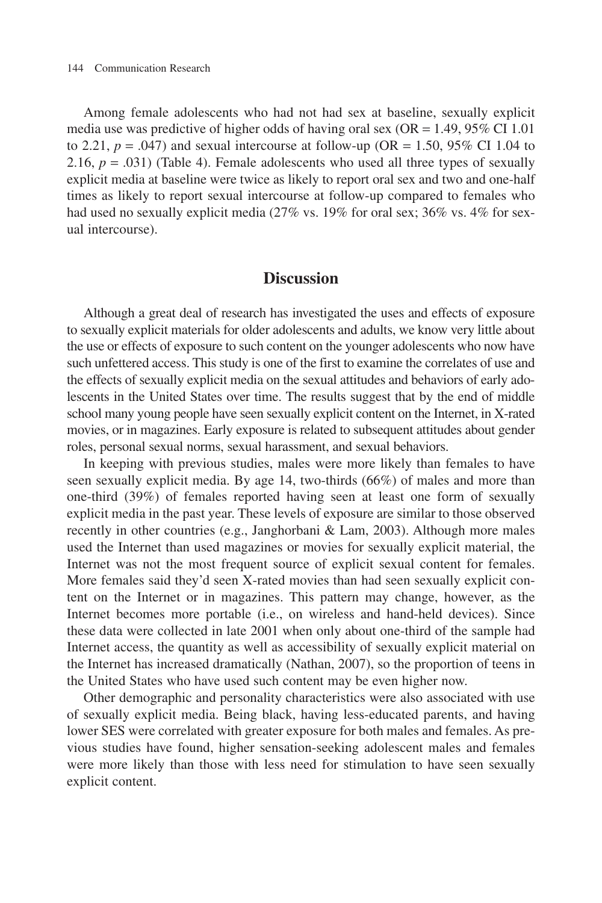Among female adolescents who had not had sex at baseline, sexually explicit media use was predictive of higher odds of having oral sex ( $OR = 1.49$ ,  $95\%$  CI 1.01 to 2.21,  $p = .047$  and sexual intercourse at follow-up (OR = 1.50, 95% CI 1.04 to 2.16,  $p = .031$ ) (Table 4). Female adolescents who used all three types of sexually explicit media at baseline were twice as likely to report oral sex and two and one-half times as likely to report sexual intercourse at follow-up compared to females who had used no sexually explicit media (27% vs. 19% for oral sex; 36% vs. 4% for sexual intercourse).

# **Discussion**

Although a great deal of research has investigated the uses and effects of exposure to sexually explicit materials for older adolescents and adults, we know very little about the use or effects of exposure to such content on the younger adolescents who now have such unfettered access. This study is one of the first to examine the correlates of use and the effects of sexually explicit media on the sexual attitudes and behaviors of early adolescents in the United States over time. The results suggest that by the end of middle school many young people have seen sexually explicit content on the Internet, in X-rated movies, or in magazines. Early exposure is related to subsequent attitudes about gender roles, personal sexual norms, sexual harassment, and sexual behaviors.

In keeping with previous studies, males were more likely than females to have seen sexually explicit media. By age 14, two-thirds (66%) of males and more than one-third (39%) of females reported having seen at least one form of sexually explicit media in the past year. These levels of exposure are similar to those observed recently in other countries (e.g., Janghorbani & Lam, 2003). Although more males used the Internet than used magazines or movies for sexually explicit material, the Internet was not the most frequent source of explicit sexual content for females. More females said they'd seen X-rated movies than had seen sexually explicit content on the Internet or in magazines. This pattern may change, however, as the Internet becomes more portable (i.e., on wireless and hand-held devices). Since these data were collected in late 2001 when only about one-third of the sample had Internet access, the quantity as well as accessibility of sexually explicit material on the Internet has increased dramatically (Nathan, 2007), so the proportion of teens in the United States who have used such content may be even higher now.

Other demographic and personality characteristics were also associated with use of sexually explicit media. Being black, having less-educated parents, and having lower SES were correlated with greater exposure for both males and females. As previous studies have found, higher sensation-seeking adolescent males and females were more likely than those with less need for stimulation to have seen sexually explicit content.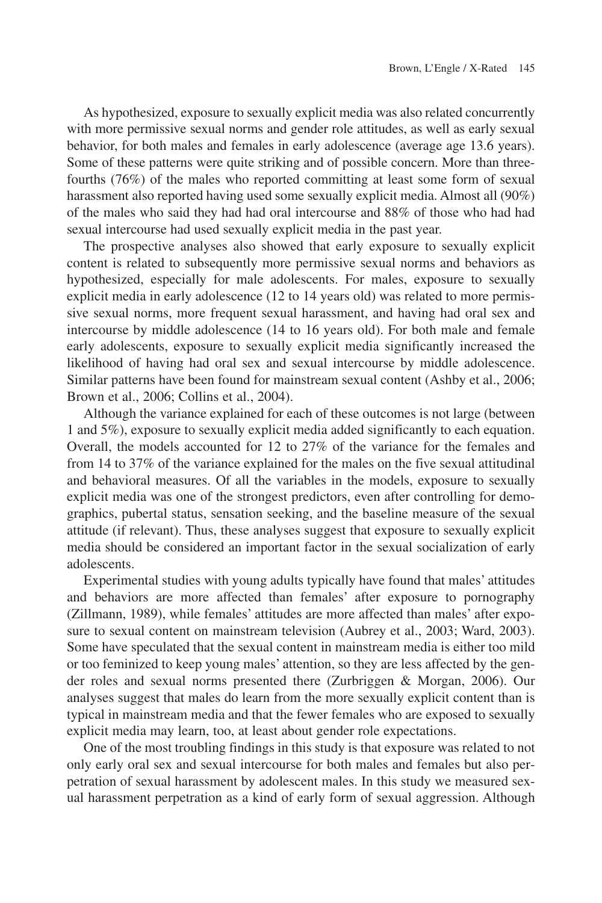As hypothesized, exposure to sexually explicit media was also related concurrently with more permissive sexual norms and gender role attitudes, as well as early sexual behavior, for both males and females in early adolescence (average age 13.6 years). Some of these patterns were quite striking and of possible concern. More than threefourths (76%) of the males who reported committing at least some form of sexual harassment also reported having used some sexually explicit media. Almost all (90%) of the males who said they had had oral intercourse and 88% of those who had had sexual intercourse had used sexually explicit media in the past year.

The prospective analyses also showed that early exposure to sexually explicit content is related to subsequently more permissive sexual norms and behaviors as hypothesized, especially for male adolescents. For males, exposure to sexually explicit media in early adolescence (12 to 14 years old) was related to more permissive sexual norms, more frequent sexual harassment, and having had oral sex and intercourse by middle adolescence (14 to 16 years old). For both male and female early adolescents, exposure to sexually explicit media significantly increased the likelihood of having had oral sex and sexual intercourse by middle adolescence. Similar patterns have been found for mainstream sexual content (Ashby et al., 2006; Brown et al., 2006; Collins et al., 2004).

Although the variance explained for each of these outcomes is not large (between 1 and 5%), exposure to sexually explicit media added significantly to each equation. Overall, the models accounted for 12 to 27% of the variance for the females and from 14 to 37% of the variance explained for the males on the five sexual attitudinal and behavioral measures. Of all the variables in the models, exposure to sexually explicit media was one of the strongest predictors, even after controlling for demographics, pubertal status, sensation seeking, and the baseline measure of the sexual attitude (if relevant). Thus, these analyses suggest that exposure to sexually explicit media should be considered an important factor in the sexual socialization of early adolescents.

Experimental studies with young adults typically have found that males' attitudes and behaviors are more affected than females' after exposure to pornography (Zillmann, 1989), while females' attitudes are more affected than males' after exposure to sexual content on mainstream television (Aubrey et al., 2003; Ward, 2003). Some have speculated that the sexual content in mainstream media is either too mild or too feminized to keep young males' attention, so they are less affected by the gender roles and sexual norms presented there (Zurbriggen & Morgan, 2006). Our analyses suggest that males do learn from the more sexually explicit content than is typical in mainstream media and that the fewer females who are exposed to sexually explicit media may learn, too, at least about gender role expectations.

One of the most troubling findings in this study is that exposure was related to not only early oral sex and sexual intercourse for both males and females but also perpetration of sexual harassment by adolescent males. In this study we measured sexual harassment perpetration as a kind of early form of sexual aggression. Although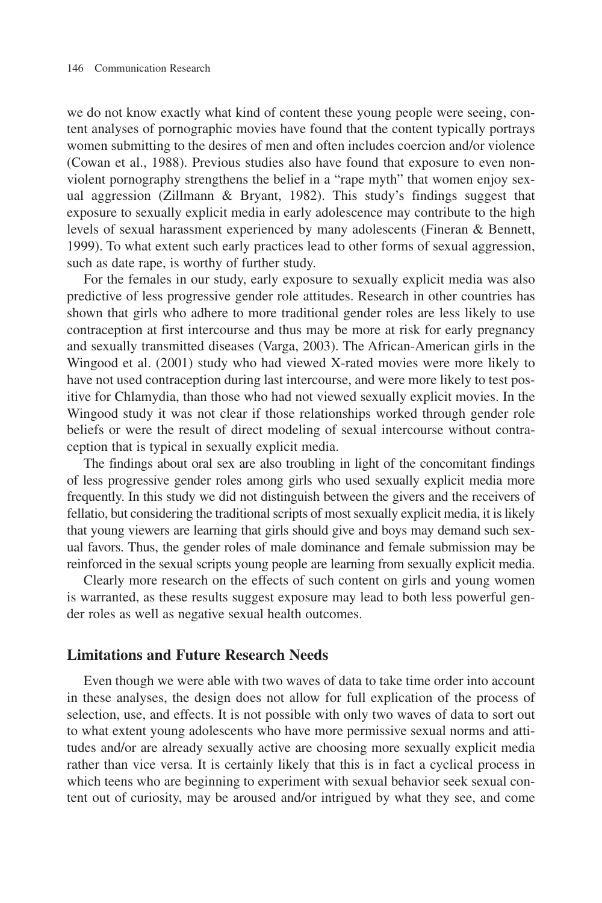we do not know exactly what kind of content these young people were seeing, content analyses of pornographic movies have found that the content typically portrays women submitting to the desires of men and often includes coercion and/or violence (Cowan et al., 1988). Previous studies also have found that exposure to even nonviolent pornography strengthens the belief in a "rape myth" that women enjoy sexual aggression (Zillmann & Bryant, 1982). This study's findings suggest that exposure to sexually explicit media in early adolescence may contribute to the high levels of sexual harassment experienced by many adolescents (Fineran & Bennett, 1999). To what extent such early practices lead to other forms of sexual aggression, such as date rape, is worthy of further study.

For the females in our study, early exposure to sexually explicit media was also predictive of less progressive gender role attitudes. Research in other countries has shown that girls who adhere to more traditional gender roles are less likely to use contraception at first intercourse and thus may be more at risk for early pregnancy and sexually transmitted diseases (Varga, 2003). The African-American girls in the Wingood et al. (2001) study who had viewed X-rated movies were more likely to have not used contraception during last intercourse, and were more likely to test positive for Chlamydia, than those who had not viewed sexually explicit movies. In the Wingood study it was not clear if those relationships worked through gender role beliefs or were the result of direct modeling of sexual intercourse without contraception that is typical in sexually explicit media.

The findings about oral sex are also troubling in light of the concomitant findings of less progressive gender roles among girls who used sexually explicit media more frequently. In this study we did not distinguish between the givers and the receivers of fellatio, but considering the traditional scripts of most sexually explicit media, it is likely that young viewers are learning that girls should give and boys may demand such sexual favors. Thus, the gender roles of male dominance and female submission may be reinforced in the sexual scripts young people are learning from sexually explicit media.

Clearly more research on the effects of such content on girls and young women is warranted, as these results suggest exposure may lead to both less powerful gender roles as well as negative sexual health outcomes.

#### **Limitations and Future Research Needs**

Even though we were able with two waves of data to take time order into account in these analyses, the design does not allow for full explication of the process of selection, use, and effects. It is not possible with only two waves of data to sort out to what extent young adolescents who have more permissive sexual norms and attitudes and/or are already sexually active are choosing more sexually explicit media rather than vice versa. It is certainly likely that this is in fact a cyclical process in which teens who are beginning to experiment with sexual behavior seek sexual content out of curiosity, may be aroused and/or intrigued by what they see, and come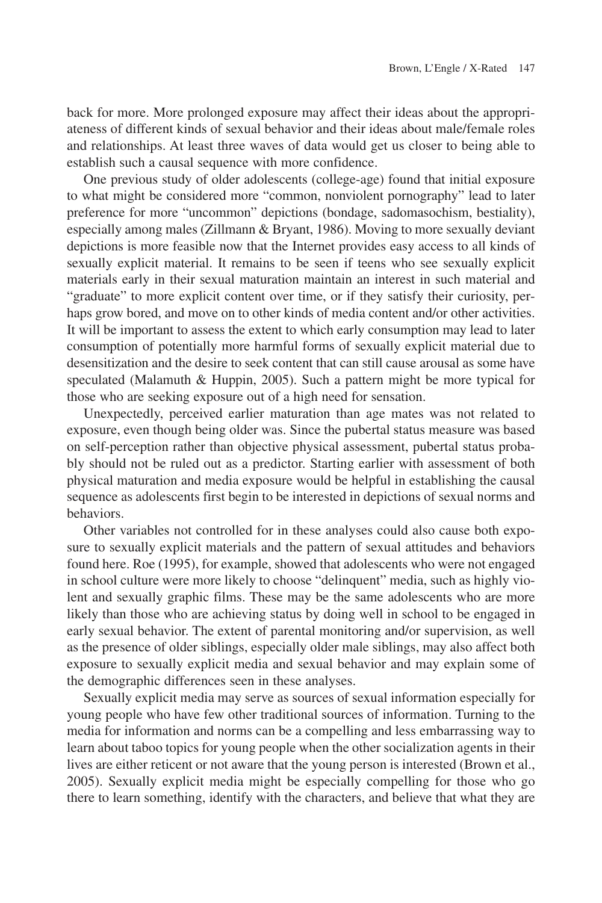back for more. More prolonged exposure may affect their ideas about the appropriateness of different kinds of sexual behavior and their ideas about male/female roles and relationships. At least three waves of data would get us closer to being able to establish such a causal sequence with more confidence.

One previous study of older adolescents (college-age) found that initial exposure to what might be considered more "common, nonviolent pornography" lead to later preference for more "uncommon" depictions (bondage, sadomasochism, bestiality), especially among males (Zillmann & Bryant, 1986). Moving to more sexually deviant depictions is more feasible now that the Internet provides easy access to all kinds of sexually explicit material. It remains to be seen if teens who see sexually explicit materials early in their sexual maturation maintain an interest in such material and "graduate" to more explicit content over time, or if they satisfy their curiosity, perhaps grow bored, and move on to other kinds of media content and/or other activities. It will be important to assess the extent to which early consumption may lead to later consumption of potentially more harmful forms of sexually explicit material due to desensitization and the desire to seek content that can still cause arousal as some have speculated (Malamuth & Huppin, 2005). Such a pattern might be more typical for those who are seeking exposure out of a high need for sensation.

Unexpectedly, perceived earlier maturation than age mates was not related to exposure, even though being older was. Since the pubertal status measure was based on self-perception rather than objective physical assessment, pubertal status probably should not be ruled out as a predictor. Starting earlier with assessment of both physical maturation and media exposure would be helpful in establishing the causal sequence as adolescents first begin to be interested in depictions of sexual norms and behaviors.

Other variables not controlled for in these analyses could also cause both exposure to sexually explicit materials and the pattern of sexual attitudes and behaviors found here. Roe (1995), for example, showed that adolescents who were not engaged in school culture were more likely to choose "delinquent" media, such as highly violent and sexually graphic films. These may be the same adolescents who are more likely than those who are achieving status by doing well in school to be engaged in early sexual behavior. The extent of parental monitoring and/or supervision, as well as the presence of older siblings, especially older male siblings, may also affect both exposure to sexually explicit media and sexual behavior and may explain some of the demographic differences seen in these analyses.

Sexually explicit media may serve as sources of sexual information especially for young people who have few other traditional sources of information. Turning to the media for information and norms can be a compelling and less embarrassing way to learn about taboo topics for young people when the other socialization agents in their lives are either reticent or not aware that the young person is interested (Brown et al., 2005). Sexually explicit media might be especially compelling for those who go there to learn something, identify with the characters, and believe that what they are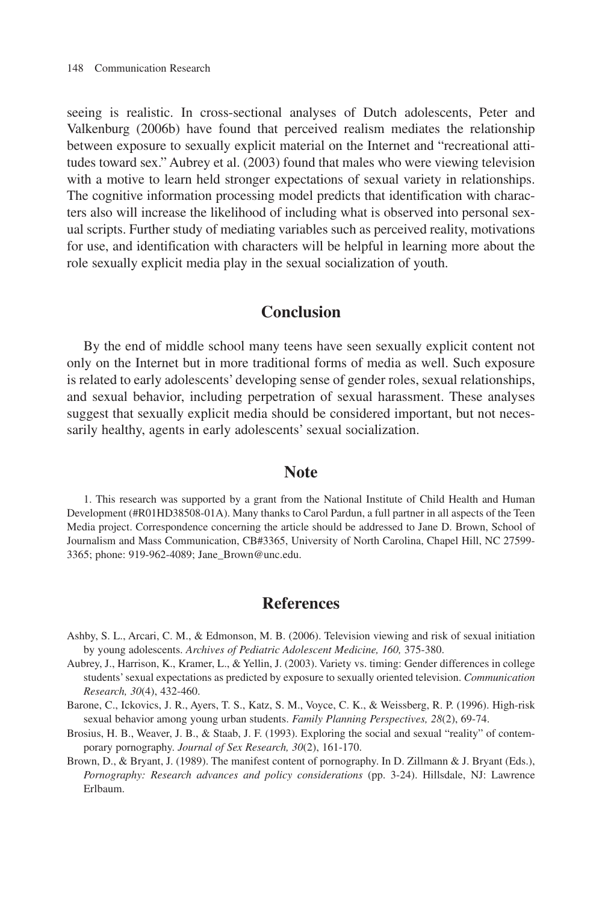seeing is realistic. In cross-sectional analyses of Dutch adolescents, Peter and Valkenburg (2006b) have found that perceived realism mediates the relationship between exposure to sexually explicit material on the Internet and "recreational attitudes toward sex." Aubrey et al. (2003) found that males who were viewing television with a motive to learn held stronger expectations of sexual variety in relationships. The cognitive information processing model predicts that identification with characters also will increase the likelihood of including what is observed into personal sexual scripts. Further study of mediating variables such as perceived reality, motivations for use, and identification with characters will be helpful in learning more about the role sexually explicit media play in the sexual socialization of youth.

### **Conclusion**

By the end of middle school many teens have seen sexually explicit content not only on the Internet but in more traditional forms of media as well. Such exposure is related to early adolescents' developing sense of gender roles, sexual relationships, and sexual behavior, including perpetration of sexual harassment. These analyses suggest that sexually explicit media should be considered important, but not necessarily healthy, agents in early adolescents' sexual socialization.

### **Note**

1. This research was supported by a grant from the National Institute of Child Health and Human Development (#R01HD38508-01A). Many thanks to Carol Pardun, a full partner in all aspects of the Teen Media project. Correspondence concerning the article should be addressed to Jane D. Brown, School of Journalism and Mass Communication, CB#3365, University of North Carolina, Chapel Hill, NC 27599- 3365; phone: 919-962-4089; Jane\_Brown@unc.edu.

## **References**

- Ashby, S. L., Arcari, C. M., & Edmonson, M. B. (2006). Television viewing and risk of sexual initiation by young adolescents. *Archives of Pediatric Adolescent Medicine, 160,* 375-380.
- Aubrey, J., Harrison, K., Kramer, L., & Yellin, J. (2003). Variety vs. timing: Gender differences in college students' sexual expectations as predicted by exposure to sexually oriented television. *Communication Research, 30*(4), 432-460.
- Barone, C., Ickovics, J. R., Ayers, T. S., Katz, S. M., Voyce, C. K., & Weissberg, R. P. (1996). High-risk sexual behavior among young urban students. *Family Planning Perspectives, 28*(2), 69-74.
- Brosius, H. B., Weaver, J. B., & Staab, J. F. (1993). Exploring the social and sexual "reality" of contemporary pornography. *Journal of Sex Research, 30*(2), 161-170.
- Brown, D., & Bryant, J. (1989). The manifest content of pornography. In D. Zillmann & J. Bryant (Eds.), *Pornography: Research advances and policy considerations* (pp. 3-24). Hillsdale, NJ: Lawrence Erlbaum.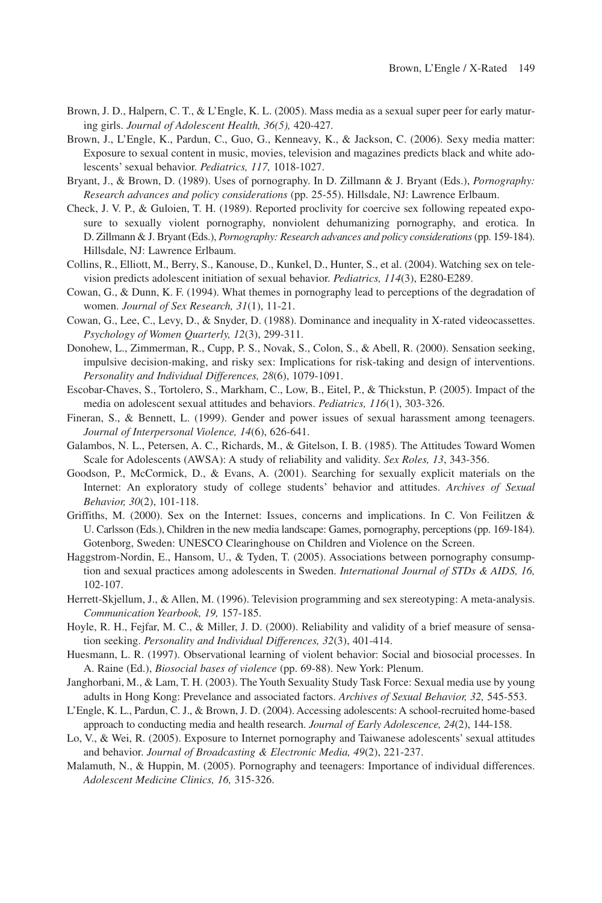- Brown, J. D., Halpern, C. T., & L'Engle, K. L. (2005). Mass media as a sexual super peer for early maturing girls. *Journal of Adolescent Health, 36(5),* 420-427*.*
- Brown, J., L'Engle, K., Pardun, C., Guo, G., Kenneavy, K., & Jackson, C. (2006). Sexy media matter: Exposure to sexual content in music, movies, television and magazines predicts black and white adolescents' sexual behavior. *Pediatrics, 117,* 1018-1027.
- Bryant, J., & Brown, D. (1989). Uses of pornography. In D. Zillmann & J. Bryant (Eds.), *Pornography: Research advances and policy considerations* (pp. 25-55). Hillsdale, NJ: Lawrence Erlbaum.
- Check, J. V. P., & Guloien, T. H. (1989). Reported proclivity for coercive sex following repeated exposure to sexually violent pornography, nonviolent dehumanizing pornography, and erotica. In D. Zillmann & J. Bryant (Eds.), *Pornography: Research advances and policy considerations*(pp. 159-184). Hillsdale, NJ: Lawrence Erlbaum.
- Collins, R., Elliott, M., Berry, S., Kanouse, D., Kunkel, D., Hunter, S., et al. (2004). Watching sex on television predicts adolescent initiation of sexual behavior. *Pediatrics, 114*(3), E280-E289.
- Cowan, G., & Dunn, K. F. (1994). What themes in pornography lead to perceptions of the degradation of women. *Journal of Sex Research, 31*(1), 11-21.
- Cowan, G., Lee, C., Levy, D., & Snyder, D. (1988). Dominance and inequality in X-rated videocassettes. *Psychology of Women Quarterly, 12*(3), 299-311.
- Donohew, L., Zimmerman, R., Cupp, P. S., Novak, S., Colon, S., & Abell, R. (2000). Sensation seeking, impulsive decision-making, and risky sex: Implications for risk-taking and design of interventions. *Personality and Individual Differences, 28*(6), 1079-1091.
- Escobar-Chaves, S., Tortolero, S., Markham, C., Low, B., Eitel, P., & Thickstun, P. (2005). Impact of the media on adolescent sexual attitudes and behaviors. *Pediatrics, 116*(1), 303-326.
- Fineran, S., & Bennett, L. (1999). Gender and power issues of sexual harassment among teenagers. *Journal of Interpersonal Violence, 14*(6), 626-641.
- Galambos, N. L., Petersen, A. C., Richards, M., & Gitelson, I. B. (1985). The Attitudes Toward Women Scale for Adolescents (AWSA): A study of reliability and validity. *Sex Roles, 13*, 343-356.
- Goodson, P., McCormick, D., & Evans, A. (2001). Searching for sexually explicit materials on the Internet: An exploratory study of college students' behavior and attitudes. *Archives of Sexual Behavior, 30*(2), 101-118.
- Griffiths, M. (2000). Sex on the Internet: Issues, concerns and implications. In C. Von Feilitzen & U. Carlsson (Eds.), Children in the new media landscape: Games, pornography, perceptions (pp. 169-184). Gotenborg, Sweden: UNESCO Clearinghouse on Children and Violence on the Screen.
- Haggstrom-Nordin, E., Hansom, U., & Tyden, T. (2005). Associations between pornography consumption and sexual practices among adolescents in Sweden. *International Journal of STDs & AIDS, 16,* 102-107.
- Herrett-Skjellum, J., & Allen, M. (1996). Television programming and sex stereotyping: A meta-analysis. *Communication Yearbook, 19,* 157-185.
- Hoyle, R. H., Fejfar, M. C., & Miller, J. D. (2000). Reliability and validity of a brief measure of sensation seeking. *Personality and Individual Differences, 32*(3), 401-414.
- Huesmann, L. R. (1997). Observational learning of violent behavior: Social and biosocial processes. In A. Raine (Ed.), *Biosocial bases of violence* (pp. 69-88). New York: Plenum.
- Janghorbani, M., & Lam, T. H. (2003). The Youth Sexuality Study Task Force: Sexual media use by young adults in Hong Kong: Prevelance and associated factors. *Archives of Sexual Behavior, 32,* 545-553.
- L'Engle, K. L., Pardun, C. J., & Brown, J. D. (2004). Accessing adolescents: A school-recruited home-based approach to conducting media and health research. *Journal of Early Adolescence, 24*(2), 144-158.
- Lo, V., & Wei, R. (2005). Exposure to Internet pornography and Taiwanese adolescents' sexual attitudes and behavior. *Journal of Broadcasting & Electronic Media, 49*(2), 221-237.
- Malamuth, N., & Huppin, M. (2005). Pornography and teenagers: Importance of individual differences. *Adolescent Medicine Clinics, 16,* 315-326.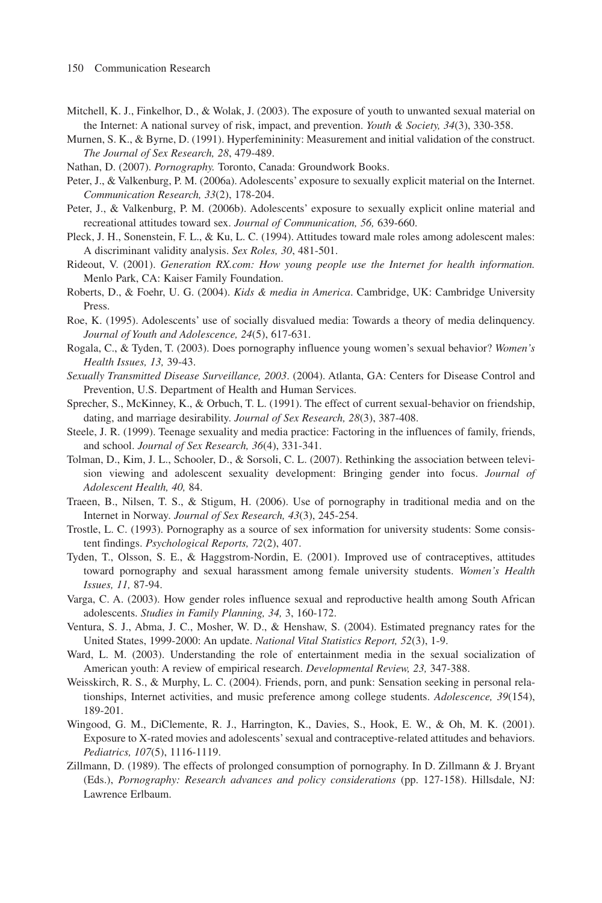- Mitchell, K. J., Finkelhor, D., & Wolak, J. (2003). The exposure of youth to unwanted sexual material on the Internet: A national survey of risk, impact, and prevention. *Youth & Society, 34*(3), 330-358.
- Murnen, S. K., & Byrne, D. (1991). Hyperfemininity: Measurement and initial validation of the construct. *The Journal of Sex Research, 28*, 479-489.
- Nathan, D. (2007). *Pornography.* Toronto, Canada: Groundwork Books.
- Peter, J., & Valkenburg, P. M. (2006a). Adolescents' exposure to sexually explicit material on the Internet. *Communication Research, 33*(2), 178-204.
- Peter, J., & Valkenburg, P. M. (2006b). Adolescents' exposure to sexually explicit online material and recreational attitudes toward sex. *Journal of Communication, 56,* 639-660.
- Pleck, J. H., Sonenstein, F. L., & Ku, L. C. (1994). Attitudes toward male roles among adolescent males: A discriminant validity analysis. *Sex Roles, 30*, 481-501.
- Rideout, V. (2001). *Generation RX.com: How young people use the Internet for health information.* Menlo Park, CA: Kaiser Family Foundation.
- Roberts, D., & Foehr, U. G. (2004). *Kids & media in America*. Cambridge, UK: Cambridge University Press.
- Roe, K. (1995). Adolescents' use of socially disvalued media: Towards a theory of media delinquency. *Journal of Youth and Adolescence, 24*(5), 617-631.
- Rogala, C., & Tyden, T. (2003). Does pornography influence young women's sexual behavior? *Women's Health Issues, 13,* 39-43.
- *Sexually Transmitted Disease Surveillance, 2003*. (2004). Atlanta, GA: Centers for Disease Control and Prevention, U.S. Department of Health and Human Services.
- Sprecher, S., McKinney, K., & Orbuch, T. L. (1991). The effect of current sexual-behavior on friendship, dating, and marriage desirability. *Journal of Sex Research, 28*(3), 387-408.
- Steele, J. R. (1999). Teenage sexuality and media practice: Factoring in the influences of family, friends, and school. *Journal of Sex Research, 36*(4), 331-341.
- Tolman, D., Kim, J. L., Schooler, D., & Sorsoli, C. L. (2007). Rethinking the association between television viewing and adolescent sexuality development: Bringing gender into focus. *Journal of Adolescent Health, 40,* 84.
- Traeen, B., Nilsen, T. S., & Stigum, H. (2006). Use of pornography in traditional media and on the Internet in Norway. *Journal of Sex Research, 43*(3), 245-254.
- Trostle, L. C. (1993). Pornography as a source of sex information for university students: Some consistent findings. *Psychological Reports, 72*(2), 407.
- Tyden, T., Olsson, S. E., & Haggstrom-Nordin, E. (2001). Improved use of contraceptives, attitudes toward pornography and sexual harassment among female university students. *Women's Health Issues, 11,* 87-94.
- Varga, C. A. (2003). How gender roles influence sexual and reproductive health among South African adolescents. *Studies in Family Planning, 34,* 3, 160-172.
- Ventura, S. J., Abma, J. C., Mosher, W. D., & Henshaw, S. (2004). Estimated pregnancy rates for the United States, 1999-2000: An update. *National Vital Statistics Report, 52*(3), 1-9.
- Ward, L. M. (2003). Understanding the role of entertainment media in the sexual socialization of American youth: A review of empirical research. *Developmental Review, 23,* 347-388.
- Weisskirch, R. S., & Murphy, L. C. (2004). Friends, porn, and punk: Sensation seeking in personal relationships, Internet activities, and music preference among college students. *Adolescence, 39*(154), 189-201.
- Wingood, G. M., DiClemente, R. J., Harrington, K., Davies, S., Hook, E. W., & Oh, M. K. (2001). Exposure to X-rated movies and adolescents' sexual and contraceptive-related attitudes and behaviors. *Pediatrics, 107*(5), 1116-1119.
- Zillmann, D. (1989). The effects of prolonged consumption of pornography. In D. Zillmann & J. Bryant (Eds.), *Pornography: Research advances and policy considerations* (pp. 127-158). Hillsdale, NJ: Lawrence Erlbaum.